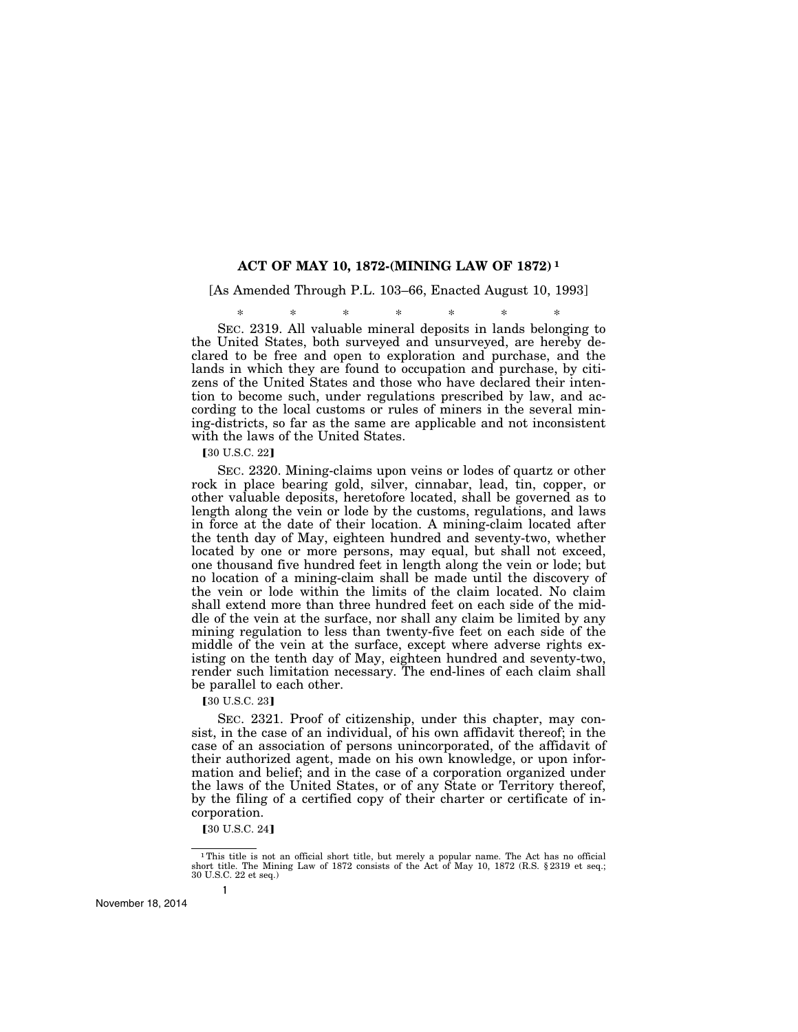## **ACT OF MAY 10, 1872-(MINING LAW OF 1872) 1**

[As Amended Through P.L. 103–66, Enacted August 10, 1993]

\* \* \* \* \* \* \* SEC. 2319. All valuable mineral deposits in lands belonging to the United States, both surveyed and unsurveyed, are hereby declared to be free and open to exploration and purchase, and the lands in which they are found to occupation and purchase, by citizens of the United States and those who have declared their intention to become such, under regulations prescribed by law, and according to the local customs or rules of miners in the several mining-districts, so far as the same are applicable and not inconsistent with the laws of the United States.

**[30 U.S.C. 22]** 

SEC. 2320. Mining-claims upon veins or lodes of quartz or other rock in place bearing gold, silver, cinnabar, lead, tin, copper, or other valuable deposits, heretofore located, shall be governed as to length along the vein or lode by the customs, regulations, and laws in force at the date of their location. A mining-claim located after the tenth day of May, eighteen hundred and seventy-two, whether located by one or more persons, may equal, but shall not exceed, one thousand five hundred feet in length along the vein or lode; but no location of a mining-claim shall be made until the discovery of the vein or lode within the limits of the claim located. No claim shall extend more than three hundred feet on each side of the middle of the vein at the surface, nor shall any claim be limited by any mining regulation to less than twenty-five feet on each side of the middle of the vein at the surface, except where adverse rights existing on the tenth day of May, eighteen hundred and seventy-two, render such limitation necessary. The end-lines of each claim shall be parallel to each other.

[30 U.S.C. 23]

SEC. 2321. Proof of citizenship, under this chapter, may consist, in the case of an individual, of his own affidavit thereof; in the case of an association of persons unincorporated, of the affidavit of their authorized agent, made on his own knowledge, or upon information and belief; and in the case of a corporation organized under the laws of the United States, or of any State or Territory thereof, by the filing of a certified copy of their charter or certificate of incorporation.

[30 U.S.C. 24]

**1** 

<sup>&</sup>lt;sup>1</sup>This title is not an official short title, but merely a popular name. The Act has no official short title. The Mining Law of 1872 consists of the Act of May 10, 1872 (R.S. § 2319 et seq.; 30 U.S.C. 22 et seq.)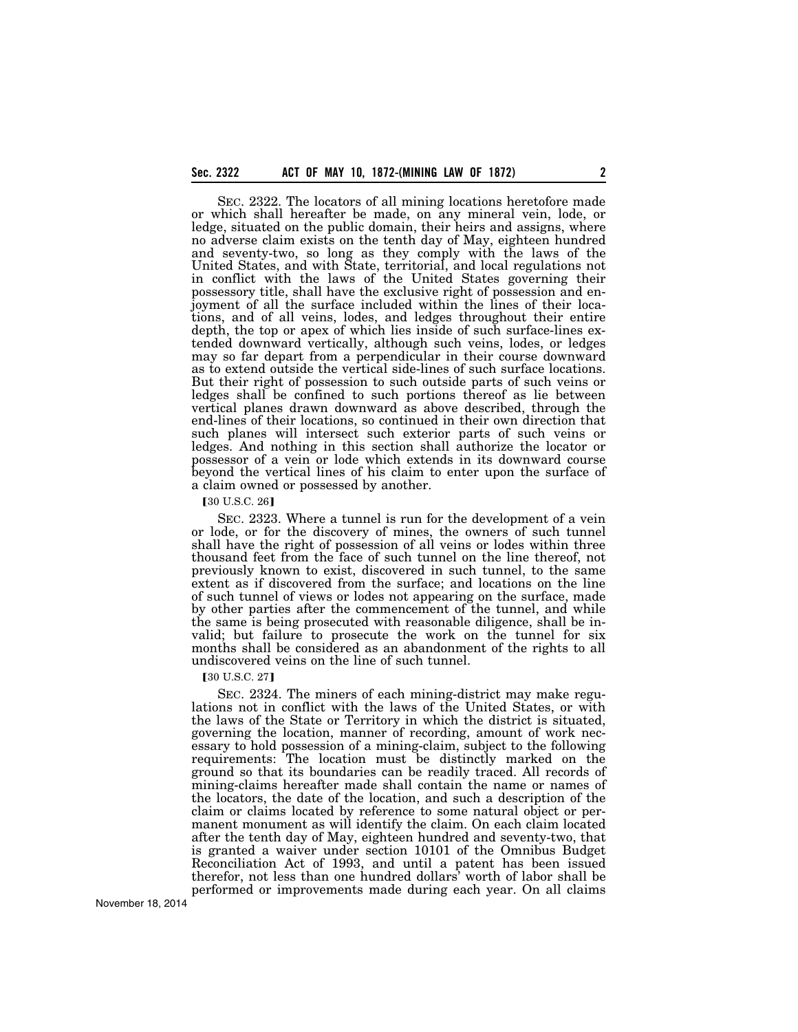SEC. 2322. The locators of all mining locations heretofore made or which shall hereafter be made, on any mineral vein, lode, or ledge, situated on the public domain, their heirs and assigns, where no adverse claim exists on the tenth day of May, eighteen hundred and seventy-two, so long as they comply with the laws of the United States, and with State, territorial, and local regulations not in conflict with the laws of the United States governing their possessory title, shall have the exclusive right of possession and enjoyment of all the surface included within the lines of their locations, and of all veins, lodes, and ledges throughout their entire depth, the top or apex of which lies inside of such surface-lines extended downward vertically, although such veins, lodes, or ledges may so far depart from a perpendicular in their course downward as to extend outside the vertical side-lines of such surface locations. But their right of possession to such outside parts of such veins or ledges shall be confined to such portions thereof as lie between vertical planes drawn downward as above described, through the end-lines of their locations, so continued in their own direction that such planes will intersect such exterior parts of such veins or ledges. And nothing in this section shall authorize the locator or possessor of a vein or lode which extends in its downward course beyond the vertical lines of his claim to enter upon the surface of a claim owned or possessed by another.

[30 U.S.C. 26]

SEC. 2323. Where a tunnel is run for the development of a vein or lode, or for the discovery of mines, the owners of such tunnel shall have the right of possession of all veins or lodes within three thousand feet from the face of such tunnel on the line thereof, not previously known to exist, discovered in such tunnel, to the same extent as if discovered from the surface; and locations on the line of such tunnel of views or lodes not appearing on the surface, made by other parties after the commencement of the tunnel, and while the same is being prosecuted with reasonable diligence, shall be invalid; but failure to prosecute the work on the tunnel for six months shall be considered as an abandonment of the rights to all undiscovered veins on the line of such tunnel.

**630 U.S.C. 271** 

SEC. 2324. The miners of each mining-district may make regulations not in conflict with the laws of the United States, or with the laws of the State or Territory in which the district is situated, governing the location, manner of recording, amount of work necessary to hold possession of a mining-claim, subject to the following requirements: The location must be distinctly marked on the ground so that its boundaries can be readily traced. All records of mining-claims hereafter made shall contain the name or names of the locators, the date of the location, and such a description of the claim or claims located by reference to some natural object or permanent monument as will identify the claim. On each claim located after the tenth day of May, eighteen hundred and seventy-two, that is granted a waiver under section 10101 of the Omnibus Budget Reconciliation Act of 1993, and until a patent has been issued therefor, not less than one hundred dollars' worth of labor shall be performed or improvements made during each year. On all claims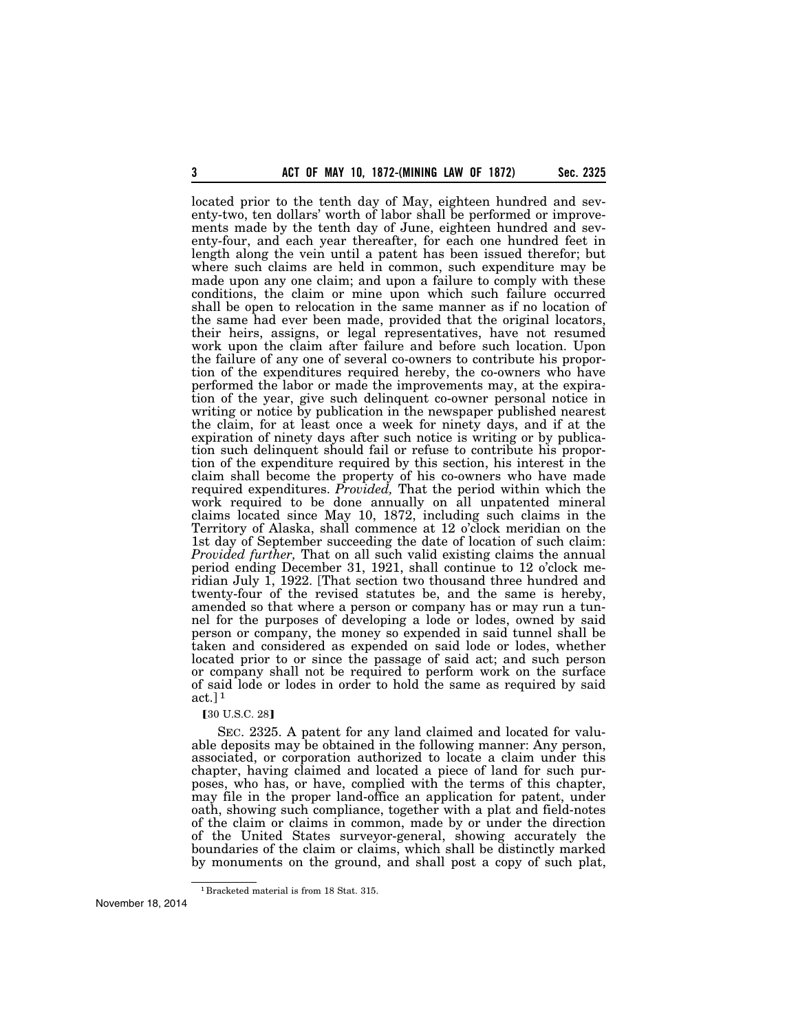located prior to the tenth day of May, eighteen hundred and seventy-two, ten dollars' worth of labor shall be performed or improvements made by the tenth day of June, eighteen hundred and seventy-four, and each year thereafter, for each one hundred feet in length along the vein until a patent has been issued therefor; but where such claims are held in common, such expenditure may be made upon any one claim; and upon a failure to comply with these conditions, the claim or mine upon which such failure occurred shall be open to relocation in the same manner as if no location of the same had ever been made, provided that the original locators, their heirs, assigns, or legal representatives, have not resumed work upon the claim after failure and before such location. Upon the failure of any one of several co-owners to contribute his proportion of the expenditures required hereby, the co-owners who have performed the labor or made the improvements may, at the expiration of the year, give such delinquent co-owner personal notice in writing or notice by publication in the newspaper published nearest the claim, for at least once a week for ninety days, and if at the expiration of ninety days after such notice is writing or by publication such delinquent should fail or refuse to contribute his proportion of the expenditure required by this section, his interest in the claim shall become the property of his co-owners who have made required expenditures. *Provided,* That the period within which the work required to be done annually on all unpatented mineral claims located since May 10, 1872, including such claims in the Territory of Alaska, shall commence at 12 o'clock meridian on the 1st day of September succeeding the date of location of such claim: *Provided further,* That on all such valid existing claims the annual period ending December 31, 1921, shall continue to 12 o'clock meridian July 1, 1922. [That section two thousand three hundred and twenty-four of the revised statutes be, and the same is hereby, amended so that where a person or company has or may run a tunnel for the purposes of developing a lode or lodes, owned by said person or company, the money so expended in said tunnel shall be taken and considered as expended on said lode or lodes, whether located prior to or since the passage of said act; and such person or company shall not be required to perform work on the surface of said lode or lodes in order to hold the same as required by said  $act.$ <sup>1</sup>

### [30 U.S.C. 28]

SEC. 2325. A patent for any land claimed and located for valuable deposits may be obtained in the following manner: Any person, associated, or corporation authorized to locate a claim under this chapter, having claimed and located a piece of land for such purposes, who has, or have, complied with the terms of this chapter, may file in the proper land-office an application for patent, under oath, showing such compliance, together with a plat and field-notes of the claim or claims in common, made by or under the direction of the United States surveyor-general, showing accurately the boundaries of the claim or claims, which shall be distinctly marked by monuments on the ground, and shall post a copy of such plat,

<sup>1</sup> Bracketed material is from 18 Stat. 315.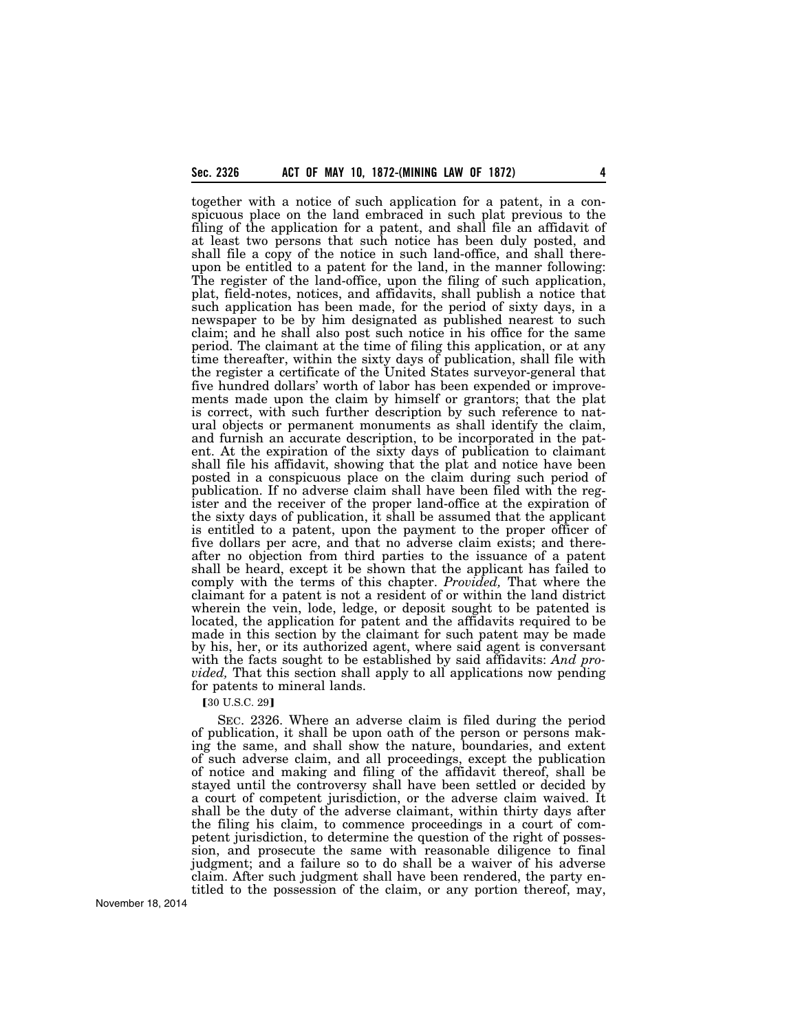together with a notice of such application for a patent, in a conspicuous place on the land embraced in such plat previous to the filing of the application for a patent, and shall file an affidavit of at least two persons that such notice has been duly posted, and shall file a copy of the notice in such land-office, and shall thereupon be entitled to a patent for the land, in the manner following: The register of the land-office, upon the filing of such application, plat, field-notes, notices, and affidavits, shall publish a notice that such application has been made, for the period of sixty days, in a newspaper to be by him designated as published nearest to such claim; and he shall also post such notice in his office for the same period. The claimant at the time of filing this application, or at any time thereafter, within the sixty days of publication, shall file with the register a certificate of the United States surveyor-general that five hundred dollars' worth of labor has been expended or improvements made upon the claim by himself or grantors; that the plat is correct, with such further description by such reference to natural objects or permanent monuments as shall identify the claim, and furnish an accurate description, to be incorporated in the patent. At the expiration of the sixty days of publication to claimant shall file his affidavit, showing that the plat and notice have been posted in a conspicuous place on the claim during such period of publication. If no adverse claim shall have been filed with the register and the receiver of the proper land-office at the expiration of the sixty days of publication, it shall be assumed that the applicant is entitled to a patent, upon the payment to the proper officer of five dollars per acre, and that no adverse claim exists; and thereafter no objection from third parties to the issuance of a patent shall be heard, except it be shown that the applicant has failed to comply with the terms of this chapter. *Provided,* That where the claimant for a patent is not a resident of or within the land district wherein the vein, lode, ledge, or deposit sought to be patented is located, the application for patent and the affidavits required to be made in this section by the claimant for such patent may be made by his, her, or its authorized agent, where said agent is conversant with the facts sought to be established by said affidavits: *And provided,* That this section shall apply to all applications now pending for patents to mineral lands.

**[30 U.S.C. 29]** 

SEC. 2326. Where an adverse claim is filed during the period of publication, it shall be upon oath of the person or persons making the same, and shall show the nature, boundaries, and extent of such adverse claim, and all proceedings, except the publication of notice and making and filing of the affidavit thereof, shall be stayed until the controversy shall have been settled or decided by a court of competent jurisdiction, or the adverse claim waived. It shall be the duty of the adverse claimant, within thirty days after the filing his claim, to commence proceedings in a court of competent jurisdiction, to determine the question of the right of possession, and prosecute the same with reasonable diligence to final judgment; and a failure so to do shall be a waiver of his adverse claim. After such judgment shall have been rendered, the party entitled to the possession of the claim, or any portion thereof, may,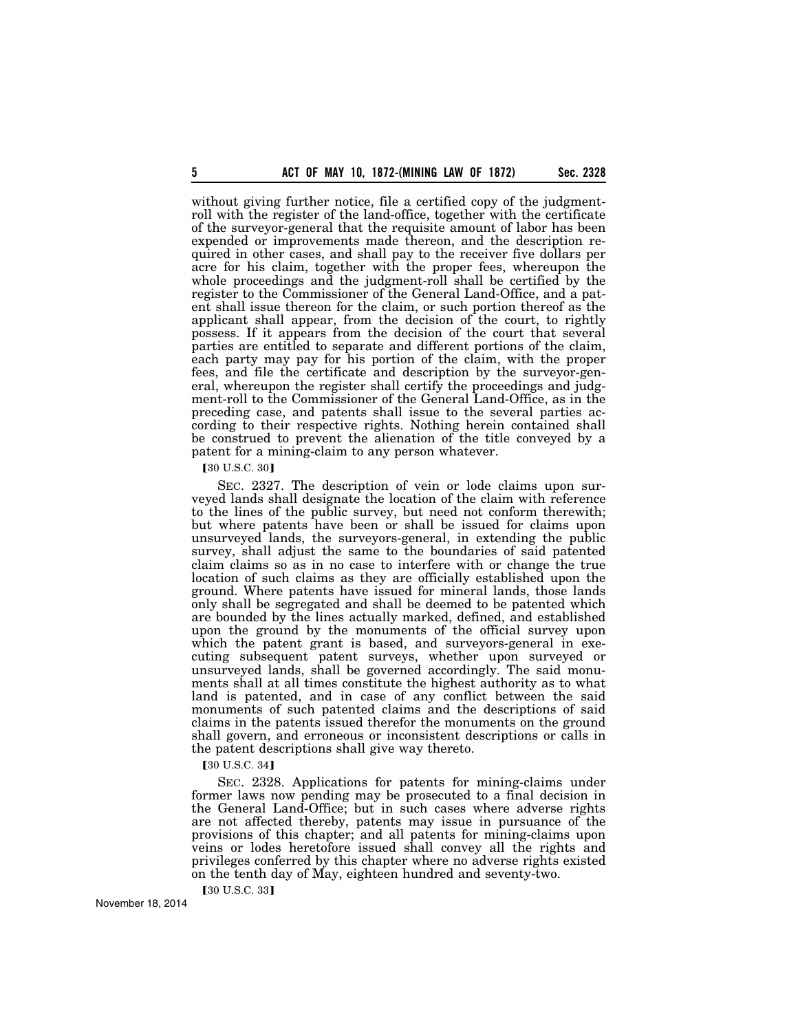without giving further notice, file a certified copy of the judgmentroll with the register of the land-office, together with the certificate of the surveyor-general that the requisite amount of labor has been expended or improvements made thereon, and the description required in other cases, and shall pay to the receiver five dollars per acre for his claim, together with the proper fees, whereupon the whole proceedings and the judgment-roll shall be certified by the register to the Commissioner of the General Land-Office, and a patent shall issue thereon for the claim, or such portion thereof as the applicant shall appear, from the decision of the court, to rightly possess. If it appears from the decision of the court that several parties are entitled to separate and different portions of the claim, each party may pay for his portion of the claim, with the proper fees, and file the certificate and description by the surveyor-general, whereupon the register shall certify the proceedings and judgment-roll to the Commissioner of the General Land-Office, as in the preceding case, and patents shall issue to the several parties according to their respective rights. Nothing herein contained shall be construed to prevent the alienation of the title conveyed by a patent for a mining-claim to any person whatever.

[30 U.S.C. 30]

SEC. 2327. The description of vein or lode claims upon surveyed lands shall designate the location of the claim with reference to the lines of the public survey, but need not conform therewith; but where patents have been or shall be issued for claims upon unsurveyed lands, the surveyors-general, in extending the public survey, shall adjust the same to the boundaries of said patented claim claims so as in no case to interfere with or change the true location of such claims as they are officially established upon the ground. Where patents have issued for mineral lands, those lands only shall be segregated and shall be deemed to be patented which are bounded by the lines actually marked, defined, and established upon the ground by the monuments of the official survey upon which the patent grant is based, and surveyors-general in executing subsequent patent surveys, whether upon surveyed or unsurveyed lands, shall be governed accordingly. The said monuments shall at all times constitute the highest authority as to what land is patented, and in case of any conflict between the said monuments of such patented claims and the descriptions of said claims in the patents issued therefor the monuments on the ground shall govern, and erroneous or inconsistent descriptions or calls in the patent descriptions shall give way thereto.

[30 U.S.C. 34]

SEC. 2328. Applications for patents for mining-claims under former laws now pending may be prosecuted to a final decision in the General Land-Office; but in such cases where adverse rights are not affected thereby, patents may issue in pursuance of the provisions of this chapter; and all patents for mining-claims upon veins or lodes heretofore issued shall convey all the rights and privileges conferred by this chapter where no adverse rights existed on the tenth day of May, eighteen hundred and seventy-two.

[30 U.S.C. 33]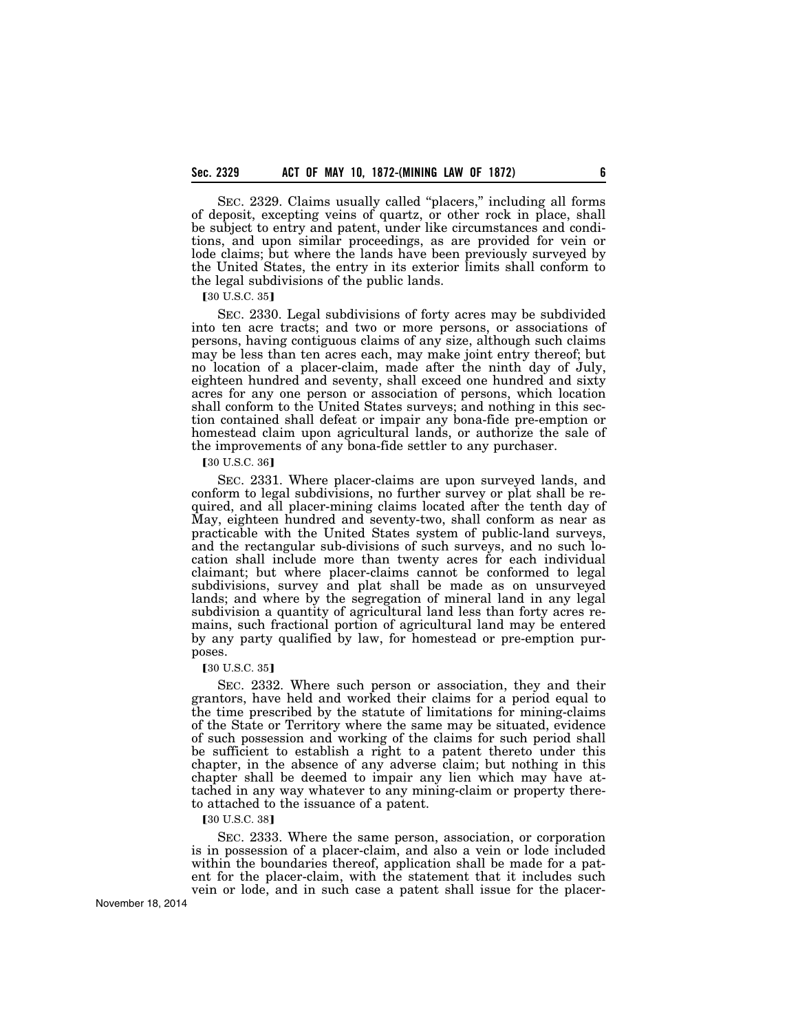SEC. 2329. Claims usually called ''placers,'' including all forms of deposit, excepting veins of quartz, or other rock in place, shall be subject to entry and patent, under like circumstances and conditions, and upon similar proceedings, as are provided for vein or lode claims; but where the lands have been previously surveyed by the United States, the entry in its exterior limits shall conform to the legal subdivisions of the public lands.

[30 U.S.C. 35]

SEC. 2330. Legal subdivisions of forty acres may be subdivided into ten acre tracts; and two or more persons, or associations of persons, having contiguous claims of any size, although such claims may be less than ten acres each, may make joint entry thereof; but no location of a placer-claim, made after the ninth day of July, eighteen hundred and seventy, shall exceed one hundred and sixty acres for any one person or association of persons, which location shall conform to the United States surveys; and nothing in this section contained shall defeat or impair any bona-fide pre-emption or homestead claim upon agricultural lands, or authorize the sale of the improvements of any bona-fide settler to any purchaser.

[30 U.S.C. 36]

SEC. 2331. Where placer-claims are upon surveyed lands, and conform to legal subdivisions, no further survey or plat shall be required, and all placer-mining claims located after the tenth day of May, eighteen hundred and seventy-two, shall conform as near as practicable with the United States system of public-land surveys, and the rectangular sub-divisions of such surveys, and no such location shall include more than twenty acres for each individual claimant; but where placer-claims cannot be conformed to legal subdivisions, survey and plat shall be made as on unsurveyed lands; and where by the segregation of mineral land in any legal subdivision a quantity of agricultural land less than forty acres remains, such fractional portion of agricultural land may be entered by any party qualified by law, for homestead or pre-emption purposes.

[30 U.S.C. 35]

SEC. 2332. Where such person or association, they and their grantors, have held and worked their claims for a period equal to the time prescribed by the statute of limitations for mining-claims of the State or Territory where the same may be situated, evidence of such possession and working of the claims for such period shall be sufficient to establish a right to a patent thereto under this chapter, in the absence of any adverse claim; but nothing in this chapter shall be deemed to impair any lien which may have attached in any way whatever to any mining-claim or property thereto attached to the issuance of a patent.

**[30 U.S.C. 38]** 

SEC. 2333. Where the same person, association, or corporation is in possession of a placer-claim, and also a vein or lode included within the boundaries thereof, application shall be made for a patent for the placer-claim, with the statement that it includes such vein or lode, and in such case a patent shall issue for the placer-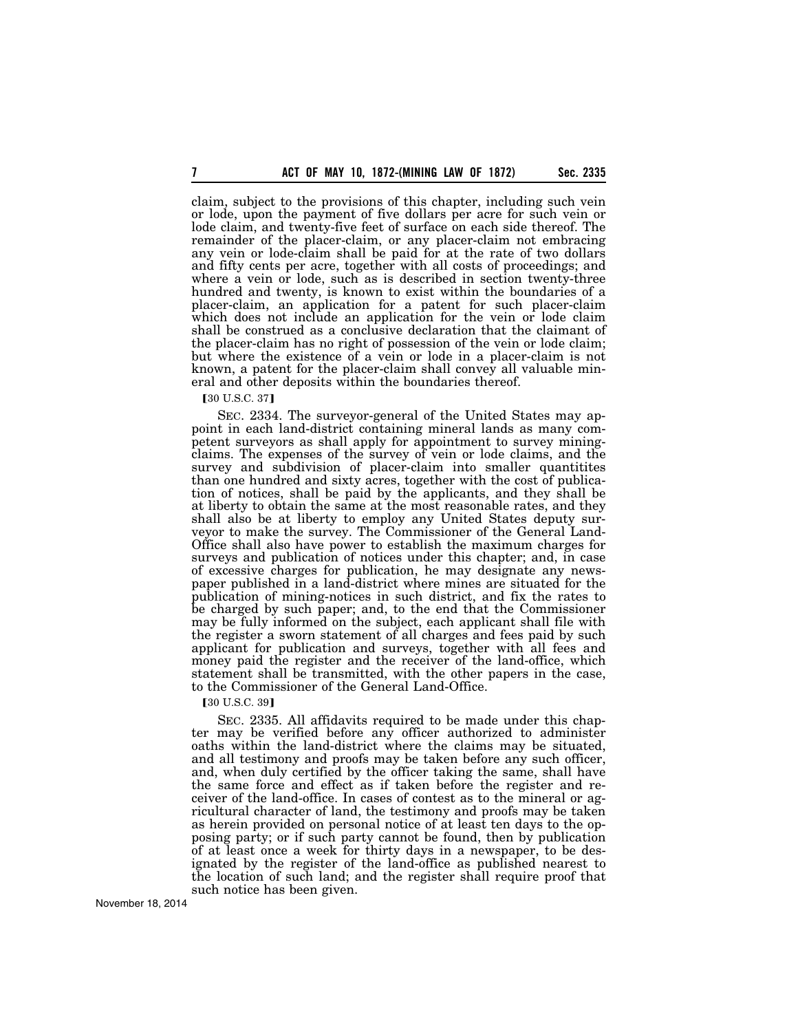claim, subject to the provisions of this chapter, including such vein or lode, upon the payment of five dollars per acre for such vein or lode claim, and twenty-five feet of surface on each side thereof. The remainder of the placer-claim, or any placer-claim not embracing any vein or lode-claim shall be paid for at the rate of two dollars and fifty cents per acre, together with all costs of proceedings; and where a vein or lode, such as is described in section twenty-three hundred and twenty, is known to exist within the boundaries of a placer-claim, an application for a patent for such placer-claim which does not include an application for the vein or lode claim shall be construed as a conclusive declaration that the claimant of the placer-claim has no right of possession of the vein or lode claim; but where the existence of a vein or lode in a placer-claim is not known, a patent for the placer-claim shall convey all valuable mineral and other deposits within the boundaries thereof.

**E30 U.S.C. 371** 

SEC. 2334. The surveyor-general of the United States may appoint in each land-district containing mineral lands as many competent surveyors as shall apply for appointment to survey miningclaims. The expenses of the survey of vein or lode claims, and the survey and subdivision of placer-claim into smaller quantitites than one hundred and sixty acres, together with the cost of publication of notices, shall be paid by the applicants, and they shall be at liberty to obtain the same at the most reasonable rates, and they shall also be at liberty to employ any United States deputy surveyor to make the survey. The Commissioner of the General Land-Office shall also have power to establish the maximum charges for surveys and publication of notices under this chapter; and, in case of excessive charges for publication, he may designate any newspaper published in a land-district where mines are situated for the publication of mining-notices in such district, and fix the rates to be charged by such paper; and, to the end that the Commissioner may be fully informed on the subject, each applicant shall file with the register a sworn statement of all charges and fees paid by such applicant for publication and surveys, together with all fees and money paid the register and the receiver of the land-office, which statement shall be transmitted, with the other papers in the case, to the Commissioner of the General Land-Office.

**[30 U.S.C. 39]** 

SEC. 2335. All affidavits required to be made under this chapter may be verified before any officer authorized to administer oaths within the land-district where the claims may be situated, and all testimony and proofs may be taken before any such officer, and, when duly certified by the officer taking the same, shall have the same force and effect as if taken before the register and receiver of the land-office. In cases of contest as to the mineral or agricultural character of land, the testimony and proofs may be taken as herein provided on personal notice of at least ten days to the opposing party; or if such party cannot be found, then by publication of at least once a week for thirty days in a newspaper, to be designated by the register of the land-office as published nearest to the location of such land; and the register shall require proof that such notice has been given.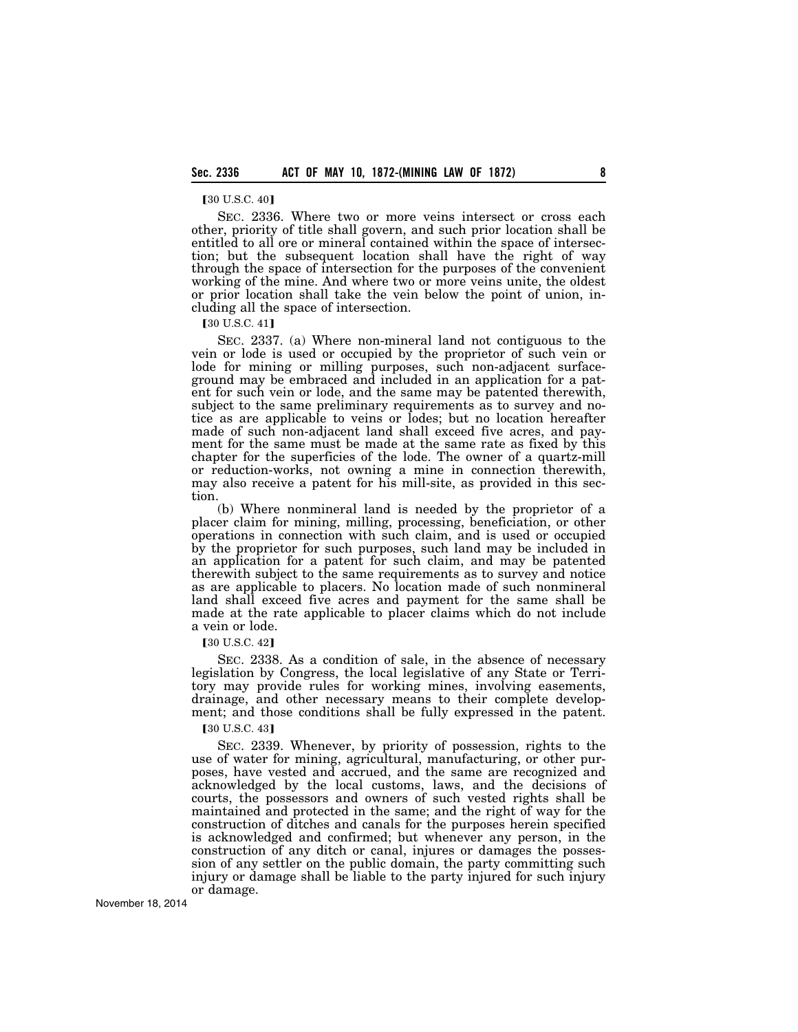## [30 U.S.C. 40]

SEC. 2336. Where two or more veins intersect or cross each other, priority of title shall govern, and such prior location shall be entitled to all ore or mineral contained within the space of intersection; but the subsequent location shall have the right of way through the space of intersection for the purposes of the convenient working of the mine. And where two or more veins unite, the oldest or prior location shall take the vein below the point of union, including all the space of intersection.

[30 U.S.C. 41]

SEC. 2337. (a) Where non-mineral land not contiguous to the vein or lode is used or occupied by the proprietor of such vein or lode for mining or milling purposes, such non-adjacent surfaceground may be embraced and included in an application for a patent for such vein or lode, and the same may be patented therewith, subject to the same preliminary requirements as to survey and notice as are applicable to veins or lodes; but no location hereafter made of such non-adjacent land shall exceed five acres, and payment for the same must be made at the same rate as fixed by this chapter for the superficies of the lode. The owner of a quartz-mill or reduction-works, not owning a mine in connection therewith, may also receive a patent for his mill-site, as provided in this section.

(b) Where nonmineral land is needed by the proprietor of a placer claim for mining, milling, processing, beneficiation, or other operations in connection with such claim, and is used or occupied by the proprietor for such purposes, such land may be included in an application for a patent for such claim, and may be patented therewith subject to the same requirements as to survey and notice as are applicable to placers. No location made of such nonmineral land shall exceed five acres and payment for the same shall be made at the rate applicable to placer claims which do not include a vein or lode.

**[30 U.S.C. 42]** 

SEC. 2338. As a condition of sale, in the absence of necessary legislation by Congress, the local legislative of any State or Territory may provide rules for working mines, involving easements, drainage, and other necessary means to their complete development; and those conditions shall be fully expressed in the patent.

**E30 U.S.C. 431** 

SEC. 2339. Whenever, by priority of possession, rights to the use of water for mining, agricultural, manufacturing, or other purposes, have vested and accrued, and the same are recognized and acknowledged by the local customs, laws, and the decisions of courts, the possessors and owners of such vested rights shall be maintained and protected in the same; and the right of way for the construction of ditches and canals for the purposes herein specified is acknowledged and confirmed; but whenever any person, in the construction of any ditch or canal, injures or damages the possession of any settler on the public domain, the party committing such injury or damage shall be liable to the party injured for such injury or damage.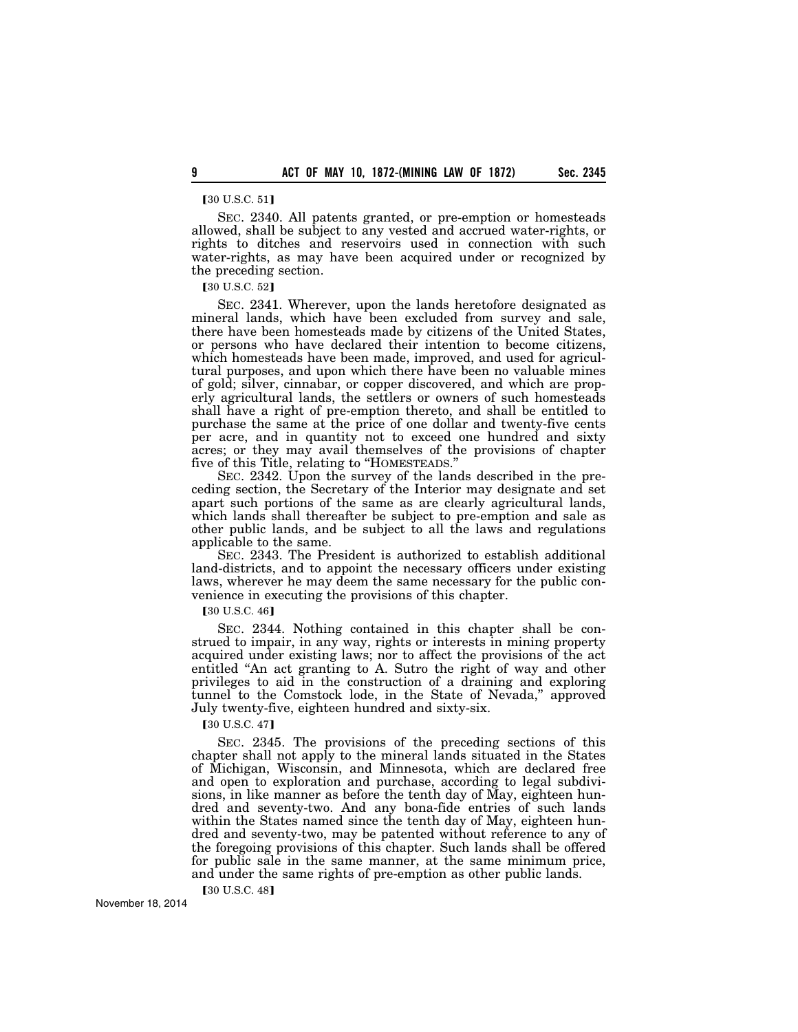# [30 U.S.C. 51]

SEC. 2340. All patents granted, or pre-emption or homesteads allowed, shall be subject to any vested and accrued water-rights, or rights to ditches and reservoirs used in connection with such water-rights, as may have been acquired under or recognized by the preceding section.

[30 U.S.C. 52]

SEC. 2341. Wherever, upon the lands heretofore designated as mineral lands, which have been excluded from survey and sale, there have been homesteads made by citizens of the United States, or persons who have declared their intention to become citizens, which homesteads have been made, improved, and used for agricultural purposes, and upon which there have been no valuable mines of gold; silver, cinnabar, or copper discovered, and which are properly agricultural lands, the settlers or owners of such homesteads shall have a right of pre-emption thereto, and shall be entitled to purchase the same at the price of one dollar and twenty-five cents per acre, and in quantity not to exceed one hundred and sixty acres; or they may avail themselves of the provisions of chapter five of this Title, relating to ''HOMESTEADS.''

SEC. 2342. Upon the survey of the lands described in the preceding section, the Secretary of the Interior may designate and set apart such portions of the same as are clearly agricultural lands, which lands shall thereafter be subject to pre-emption and sale as other public lands, and be subject to all the laws and regulations applicable to the same.

SEC. 2343. The President is authorized to establish additional land-districts, and to appoint the necessary officers under existing laws, wherever he may deem the same necessary for the public convenience in executing the provisions of this chapter.

#### **[30 U.S.C. 46]**

SEC. 2344. Nothing contained in this chapter shall be construed to impair, in any way, rights or interests in mining property acquired under existing laws; nor to affect the provisions of the act entitled ''An act granting to A. Sutro the right of way and other privileges to aid in the construction of a draining and exploring tunnel to the Comstock lode, in the State of Nevada,'' approved July twenty-five, eighteen hundred and sixty-six.

#### [30 U.S.C. 47]

SEC. 2345. The provisions of the preceding sections of this chapter shall not apply to the mineral lands situated in the States of Michigan, Wisconsin, and Minnesota, which are declared free and open to exploration and purchase, according to legal subdivisions, in like manner as before the tenth day of May, eighteen hundred and seventy-two. And any bona-fide entries of such lands within the States named since the tenth day of May, eighteen hundred and seventy-two, may be patented without reference to any of the foregoing provisions of this chapter. Such lands shall be offered for public sale in the same manner, at the same minimum price, and under the same rights of pre-emption as other public lands.

[30 U.S.C. 48]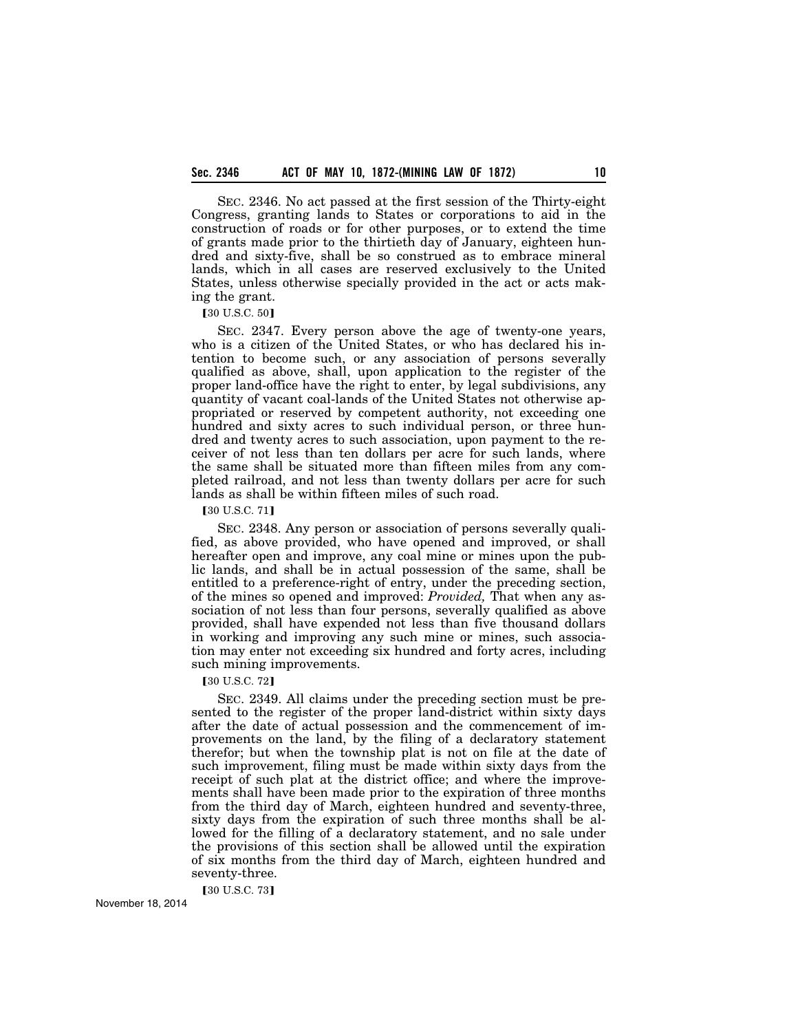SEC. 2346. No act passed at the first session of the Thirty-eight Congress, granting lands to States or corporations to aid in the construction of roads or for other purposes, or to extend the time of grants made prior to the thirtieth day of January, eighteen hundred and sixty-five, shall be so construed as to embrace mineral lands, which in all cases are reserved exclusively to the United States, unless otherwise specially provided in the act or acts making the grant.

**[30 U.S.C. 50]** 

SEC. 2347. Every person above the age of twenty-one years, who is a citizen of the United States, or who has declared his intention to become such, or any association of persons severally qualified as above, shall, upon application to the register of the proper land-office have the right to enter, by legal subdivisions, any quantity of vacant coal-lands of the United States not otherwise appropriated or reserved by competent authority, not exceeding one hundred and sixty acres to such individual person, or three hundred and twenty acres to such association, upon payment to the receiver of not less than ten dollars per acre for such lands, where the same shall be situated more than fifteen miles from any completed railroad, and not less than twenty dollars per acre for such lands as shall be within fifteen miles of such road.

**[30 U.S.C. 71]** 

SEC. 2348. Any person or association of persons severally qualified, as above provided, who have opened and improved, or shall hereafter open and improve, any coal mine or mines upon the public lands, and shall be in actual possession of the same, shall be entitled to a preference-right of entry, under the preceding section, of the mines so opened and improved: *Provided,* That when any association of not less than four persons, severally qualified as above provided, shall have expended not less than five thousand dollars in working and improving any such mine or mines, such association may enter not exceeding six hundred and forty acres, including such mining improvements.

[30 U.S.C. 72]

SEC. 2349. All claims under the preceding section must be presented to the register of the proper land-district within sixty days after the date of actual possession and the commencement of improvements on the land, by the filing of a declaratory statement therefor; but when the township plat is not on file at the date of such improvement, filing must be made within sixty days from the receipt of such plat at the district office; and where the improvements shall have been made prior to the expiration of three months from the third day of March, eighteen hundred and seventy-three, sixty days from the expiration of such three months shall be allowed for the filling of a declaratory statement, and no sale under the provisions of this section shall be allowed until the expiration of six months from the third day of March, eighteen hundred and seventy-three.

[30 U.S.C. 73]